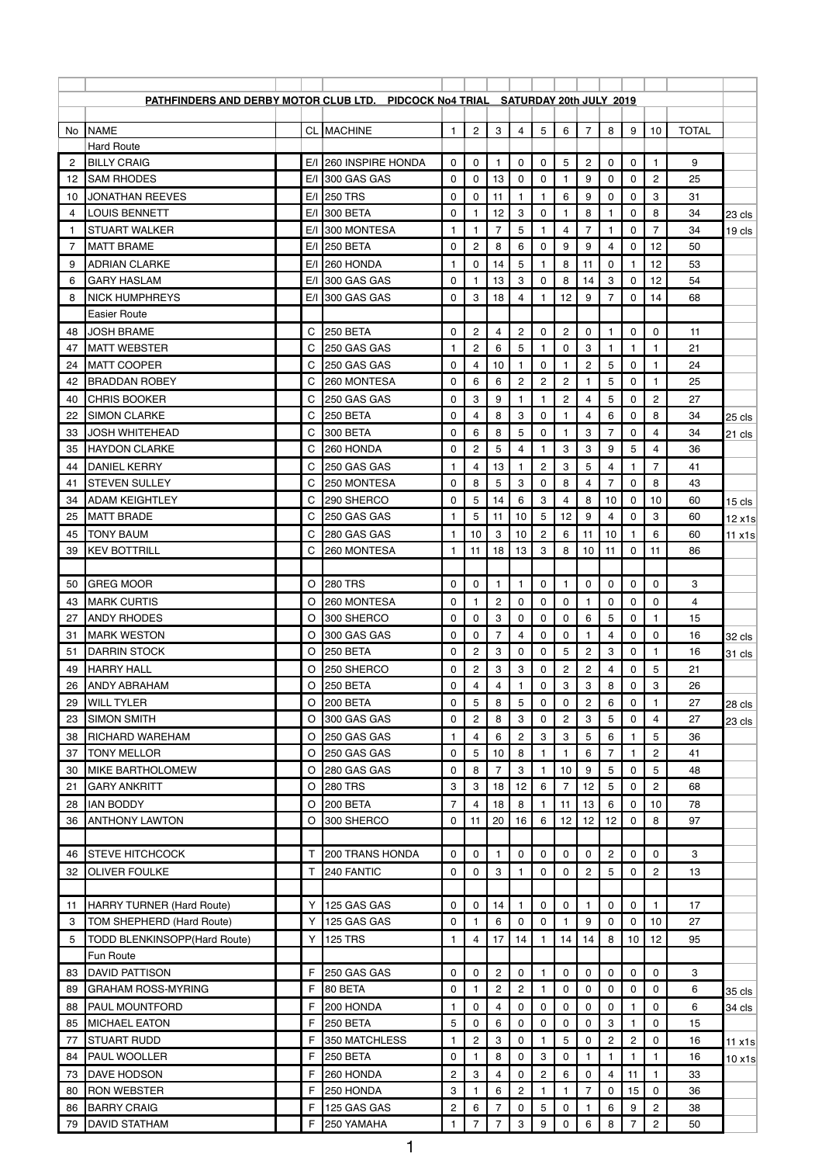| PATHFINDERS AND DERBY MOTOR CLUB LTD. PIDCOCK No4 TRIAL SATURDAY 20th JULY 2019<br>$\overline{c}$<br>3<br>8<br>No NAME<br><b>CL MACHINE</b><br>$\overline{4}$<br>5<br>6<br>$\overline{7}$<br>9<br>10<br><b>TOTAL</b><br>$\mathbf{1}$<br><b>Hard Route</b><br>9<br><b>BILLY CRAIG</b><br>E/I 260 INSPIRE HONDA<br>5<br>$\overline{c}$<br>2<br>$\mathbf 0$<br>0<br>0<br>0<br>$\mathbf 0$<br>0<br>$\mathbf{1}$<br>1.<br>$\overline{2}$<br><b>SAM RHODES</b><br>E/I 300 GAS GAS<br>13<br>0<br>9<br>$\mathbf 0$<br>25<br>0<br>0<br>0<br>0<br>12<br>$6\phantom{1}$<br>E/I 250 TRS<br>9<br>3<br><b>JONATHAN REEVES</b><br>0<br>11<br>0<br>0<br>31<br>0<br>10<br>1<br>-1<br><b>LOUIS BENNETT</b><br>3<br>8<br>E/I 300 BETA<br>0<br>12<br>0<br>8<br>34<br>0<br>4<br>23 cls<br>5<br>7<br>E/I 300 MONTESA<br>7<br>4<br>$\overline{7}$<br>0<br>34<br><b>STUART WALKER</b><br>1<br>1<br>1<br>19 cls<br>$\mathbf 1$<br>E/I 250 BETA<br>$\overline{c}$<br>8<br>6<br>9<br>$\mathbf 0$<br>9<br>$\mathbf 0$<br>12<br>7<br><b>MATT BRAME</b><br>0<br>4<br>50<br>$E/I$ 260 HONDA<br>5<br>8<br><b>ADRIAN CLARKE</b><br>14<br>11<br>0<br>12<br>53<br>9<br>0<br>1<br>1<br>3<br>8<br>3<br>12<br><b>GARY HASLAM</b><br>$E/I$ 300 GAS GAS<br>0<br>13<br>$\Omega$<br>14<br>0<br>54<br>6<br>$\boldsymbol{3}$<br>18<br>12<br><b>NICK HUMPHREYS</b><br>$E/I$ 300 GAS GAS<br>$\mathbf 0$<br>4<br>9<br>0<br>68<br>7<br>14<br>8<br>1<br><b>Easier Route</b><br>$\mathsf{C}$<br>$\overline{c}$<br>$\overline{c}$<br>$\mathbf{2}$<br><b>JOSH BRAME</b><br><b>250 BETA</b><br>0<br>4<br>0<br>48<br>0<br>0<br>$\mathbf{1}$<br>0<br>11<br>C<br>$\overline{c}$<br>6<br>5<br>$\mathbf 0$<br>3<br><b>MATT WEBSTER</b><br>250 GAS GAS<br>21<br>1<br>1<br>47<br>$\boldsymbol{2}$<br>5<br><b>MATT COOPER</b><br>$\mathsf{C}$<br>250 GAS GAS<br>10<br>0<br>24<br>0<br>4<br>0<br>24<br>1<br>C<br>$\overline{c}$<br>$\overline{c}$<br>5<br><b>BRADDAN ROBEY</b><br>260 MONTESA<br>0<br>6<br>6<br>$\overline{c}$<br>0<br>25<br>42<br>1<br>9<br>$\overline{c}$<br>5<br>$\overline{c}$<br><b>CHRIS BOOKER</b><br>$\mathsf{C}$<br>250 GAS GAS<br>0<br>3<br>0<br>27<br>4<br>40<br>1<br>C<br>8<br>3<br>8<br><b>SIMON CLARKE</b><br>250 BETA<br>0<br>0<br>6<br>0<br>34<br>22<br>4<br>4<br>25 cls<br>300 BETA<br>6<br>8<br>5<br>3<br>$\overline{7}$<br><b>JOSH WHITEHEAD</b><br>C<br>0<br>0<br>34<br>33<br>0<br>4<br>21 cls<br>$\overline{c}$<br>3<br>$\ensuremath{\mathsf{3}}$<br>C<br>260 HONDA<br>5<br>9<br>5<br><b>HAYDON CLARKE</b><br>0<br>4<br>4<br>36<br>35<br>250 GAS GAS<br>13<br>$\overline{c}$<br>3<br>7<br><b>DANIEL KERRY</b><br>$\mathsf{C}$<br>5<br>4<br>4<br>41<br>44<br>1<br>C<br>8<br>5<br>3<br>8<br>8<br><b>STEVEN SULLEY</b><br>250 MONTESA<br>0<br>7<br>0<br>0<br>4<br>43<br>41<br>$5\phantom{.0}$<br>3<br><b>ADAM KEIGHTLEY</b><br>С<br>290 SHERCO<br>14<br>6<br>8<br>10<br>34<br>0<br>4<br>0<br>10<br>60<br>$15$ cls<br>C<br>12<br><b>MATT BRADE</b><br>250 GAS GAS<br>5<br>5<br>9<br>3<br>60<br>25<br>11<br>10<br>4<br>0<br>$\mathbf{1}$<br>$\,6\,$<br>$\mathsf C$<br>$10 \mid 3$<br>10 2<br>6<br>45   TONY BAUM<br>280 GAS GAS<br>$\mathbf{1}$<br>$11$ $10$<br>$\overline{1}$<br>60<br>11 x1s<br>C<br>11<br>18<br>13<br>3<br>8<br>10 <sup>1</sup><br>11<br><b>KEV BOTTRILL</b><br>260 MONTESA<br>$\mathbf{1}$<br>$\mathbf{0}$<br>11<br>39<br>86<br><b>280 TRS</b><br>3<br><b>GREG MOOR</b><br>$\circ$<br>$\mathbf 0$<br>$\mathbf 0$<br>0<br>$\mathbf 0$<br>$\mathbf 0$<br>$\mathbf 0$<br>0<br>$\mathbf{1}$<br>$\mathbf{1}$<br>50<br><b>MARK CURTIS</b><br>260 MONTESA<br>$\overline{c}$<br>$\mathbf 0$<br>$\circ$<br>0<br>0<br>0<br>0<br>4<br>43<br>0<br>0<br>$\circ$<br>300 SHERCO<br>3<br>6<br>5<br><b>ANDY RHODES</b><br>0<br>$\Omega$<br>0<br>$\mathbf{0}$<br>0<br>15<br>27<br>0<br>1<br>$\overline{7}$<br>300 GAS GAS<br>0<br><b>MARK WESTON</b><br>$\circ$<br>0<br>0<br>4<br>0<br>4<br>0<br>0<br>16<br>31<br>32 cls<br><b>250 BETA</b><br>$\overline{c}$<br>3<br>5<br>$\overline{2}$<br>3<br><b>DARRIN STOCK</b><br>$\circ$<br>$\mathbf 0$<br>$\mathbf 0$<br>0<br>0<br>16<br>51<br>1<br>31 cls<br><b>HARRY HALL</b><br>250 SHERCO<br>$\overline{c}$<br>3<br>3<br>$\overline{c}$<br>$\overline{c}$<br>5<br>21<br>$\circ$<br>0<br>4<br>0<br>49<br>0<br>3<br>$\circ$<br><b>250 BETA</b><br>$\mathbf 0$<br>3<br>8<br>3<br><b>ANDY ABRAHAM</b><br>4<br>0<br>0<br>26<br>26<br>4<br>5<br>5<br>$\overline{c}$<br><b>200 BETA</b><br>0<br>8<br>0<br>6<br>0<br>29<br><b>WILL TYLER</b><br>$\circ$<br>0<br>27<br>1.<br>28 cls<br>300 GAS GAS<br>$\overline{c}$<br>8<br>3<br>$\overline{c}$<br>$\ensuremath{\mathsf{3}}$<br>5<br><b>SIMON SMITH</b><br>$\circ$<br>0<br>0<br>27<br>23<br>0<br>4<br>23 cls<br>3<br>5<br>250 GAS GAS<br>6<br>$\overline{c}$<br>3<br>5<br>6<br><b>RICHARD WAREHAM</b><br>$\circ$<br>4<br>36<br>38<br>$\mathbf{1}$<br>$\circ$<br>$\mathbf 0$<br>5<br>8<br>$\overline{c}$<br><b>TONY MELLOR</b><br>250 GAS GAS<br>10<br>6<br>$\overline{7}$<br>37<br>41<br>5<br>280 GAS GAS<br>8<br>$\overline{7}$<br>3<br>9<br>5<br><b>MIKE BARTHOLOMEW</b><br>0<br>10<br>0<br>48<br>30<br>$\circ$<br><b>280 TRS</b><br>3<br>3<br>12<br>5<br>$\overline{2}$<br>$\circ$<br>18<br>12<br>6<br>$\overline{7}$<br>0<br>68<br>21<br><b>GARY ANKRITT</b><br><b>IAN BODDY</b><br><b>200 BETA</b><br>$\overline{7}$<br>18<br>8<br>11<br>13<br>6<br>$\circ$<br>0<br>78<br>28<br>4<br>10<br>1.<br>300 SHERCO<br>20<br>12<br>8<br><b>ANTHONY LAWTON</b><br>O<br>0<br>16<br>6<br>12<br>12<br>97<br>36<br>11<br>0<br>$\overline{2}$<br>3<br><b>STEVE HITCHCOCK</b><br>T.<br>200 TRANS HONDA<br>$\mathbf 0$<br>$\mathbf 0$<br>0<br>0<br>$\mathbf 0$<br>$\mathbf 0$<br>46<br>1<br>0<br>0<br>240 FANTIC<br>3<br>$\overline{2}$<br>5<br>$\overline{c}$<br><b>OLIVER FOULKE</b><br>$\mathsf{T}$<br>0<br>0<br>0<br>13<br>32<br>0<br>0<br><b>HARRY TURNER (Hard Route)</b><br>Y<br>125 GAS GAS<br>$\mathbf 0$<br>0<br>14<br>0<br>0<br>0<br>0<br>17<br>$\mathbf{1}$<br>$\mathbf{1}$<br>1<br>11<br>Y<br>6<br>9<br>TOM SHEPHERD (Hard Route)<br>125 GAS GAS<br>0<br>$\mathbf 0$<br>$\mathbf 0$<br>27<br>3<br>0<br>0<br>10<br>125 TRS<br>Y<br>14<br>14<br>8<br>TODD BLENKINSOPP(Hard Route)<br>17<br>14<br>10<br>12<br>95<br>5<br>$\mathbf{1}$<br>4<br>1<br>Fun Route<br>$\overline{\mathbf{c}}$<br>3<br><b>DAVID PATTISON</b><br>F<br>250 GAS GAS<br>0<br>0<br>0<br>$\mathbf 0$<br>0<br>0<br>83<br>0<br>0<br>1.<br>F.<br>$\overline{2}$<br>80 BETA<br>$\overline{c}$<br>$\mathbf 0$<br>$\mathbf 0$<br>$\mathbf 0$<br>0<br>$\mathbf 0$<br>6<br>89<br><b>GRAHAM ROSS-MYRING</b><br>$\mathbf{0}$<br>$\mathbf{1}$<br>1<br>35 cls<br>F.<br>200 HONDA<br><b>PAUL MOUNTFORD</b><br>$\mathbf 0$<br>$\overline{4}$<br>$\pmb{0}$<br>0<br>0<br>6<br>88<br>$\mathbf{1}$<br>0<br>$\mathbf 0$<br>1<br>0<br>34 cls<br>F.<br>5<br><b>MICHAEL EATON</b><br><b>250 BETA</b><br>6<br>3<br>85<br>0<br>0<br>0<br>0<br>0<br>15<br>0<br>5<br>F<br>350 MATCHLESS<br>$\overline{c}$<br>3<br>$\overline{c}$<br>$\overline{c}$<br><b>STUART RUDD</b><br>0<br>0<br>16<br>77<br>1<br>0<br>1.<br>11 x1s<br>F.<br>8<br>0<br>0<br>PAUL WOOLLER<br><b>250 BETA</b><br>0<br>3<br>84<br>1<br>16<br>1<br>F<br>$\overline{c}$<br>$\ensuremath{\mathsf{3}}$<br>6<br>DAVE HODSON<br>260 HONDA<br>0<br>2<br>33<br>73<br>4<br>0<br>4<br>11<br>1.<br>F<br>3<br>$\overline{c}$<br>6<br><b>RON WEBSTER</b><br>250 HONDA<br>7<br>0<br>15<br>0<br>36<br>80<br><b>BARRY CRAIG</b><br>F<br>125 GAS GAS<br>$\overline{c}$<br>6<br>5<br>9<br>2<br>38<br>86<br>7<br>0<br>0<br>6<br>1.<br>F<br>$\overline{7}$<br>3<br>$\overline{7}$<br>$\overline{c}$<br><b>DAVID STATHAM</b><br>250 YAMAHA<br>7<br>9<br>0<br>6<br>8<br>50<br>79<br>1.<br>1 |  |  |  |  |  |  |  |  |  |
|------------------------------------------------------------------------------------------------------------------------------------------------------------------------------------------------------------------------------------------------------------------------------------------------------------------------------------------------------------------------------------------------------------------------------------------------------------------------------------------------------------------------------------------------------------------------------------------------------------------------------------------------------------------------------------------------------------------------------------------------------------------------------------------------------------------------------------------------------------------------------------------------------------------------------------------------------------------------------------------------------------------------------------------------------------------------------------------------------------------------------------------------------------------------------------------------------------------------------------------------------------------------------------------------------------------------------------------------------------------------------------------------------------------------------------------------------------------------------------------------------------------------------------------------------------------------------------------------------------------------------------------------------------------------------------------------------------------------------------------------------------------------------------------------------------------------------------------------------------------------------------------------------------------------------------------------------------------------------------------------------------------------------------------------------------------------------------------------------------------------------------------------------------------------------------------------------------------------------------------------------------------------------------------------------------------------------------------------------------------------------------------------------------------------------------------------------------------------------------------------------------------------------------------------------------------------------------------------------------------------------------------------------------------------------------------------------------------------------------------------------------------------------------------------------------------------------------------------------------------------------------------------------------------------------------------------------------------------------------------------------------------------------------------------------------------------------------------------------------------------------------------------------------------------------------------------------------------------------------------------------------------------------------------------------------------------------------------------------------------------------------------------------------------------------------------------------------------------------------------------------------------------------------------------------------------------------------------------------------------------------------------------------------------------------------------------------------------------------------------------------------------------------------------------------------------------------------------------------------------------------------------------------------------------------------------------------------------------------------------------------------------------------------------------------------------------------------------------------------------------------------------------------------------------------------------------------------------------------------------------------------------------------------------------------------------------------------------------------------------------------------------------------------------------------------------------------------------------------------------------------------------------------------------------------------------------------------------------------------------------------------------------------------------------------------------------------------------------------------------------------------------------------------------------------------------------------------------------------------------------------------------------------------------------------------------------------------------------------------------------------------------------------------------------------------------------------------------------------------------------------------------------------------------------------------------------------------------------------------------------------------------------------------------------------------------------------------------------------------------------------------------------------------------------------------------------------------------------------------------------------------------------------------------------------------------------------------------------------------------------------------------------------------------------------------------------------------------------------------------------------------------------------------------------------------------------------------------------------------------------------------------------------------------------------------------------------------------------------------------------------------------------------------------------------------------------------------------------------------------------------------------------------------------------------------------------------------------------------------------------------------------------------------------------------------------------------------------------------------------------------------------------------------------------------------------------------------------------------------------------------------------------------------------------------------------------------------------------------------------------------------------------------------------------------------------------------------------------------------------------------------------------------------------------------------------------------------------------------------------------------------------------------------------------------------------------------------------------------------------------------------------------------------------------------------------------------------------------------------------------------------------------------------------------------------------------------------------------------------------------------------------------------------------------------------------------------------------------------------------------------------------------------------------------------------------------------------------------------------------------------------------------------------------------------------------------------------------------------------------------------------------|--|--|--|--|--|--|--|--|--|
|                                                                                                                                                                                                                                                                                                                                                                                                                                                                                                                                                                                                                                                                                                                                                                                                                                                                                                                                                                                                                                                                                                                                                                                                                                                                                                                                                                                                                                                                                                                                                                                                                                                                                                                                                                                                                                                                                                                                                                                                                                                                                                                                                                                                                                                                                                                                                                                                                                                                                                                                                                                                                                                                                                                                                                                                                                                                                                                                                                                                                                                                                                                                                                                                                                                                                                                                                                                                                                                                                                                                                                                                                                                                                                                                                                                                                                                                                                                                                                                                                                                                                                                                                                                                                                                                                                                                                                                                                                                                                                                                                                                                                                                                                                                                                                                                                                                                                                                                                                                                                                                                                                                                                                                                                                                                                                                                                                                                                                                                                                                                                                                                                                                                                                                                                                                                                                                                                                                                                                                                                                                                                                                                                                                                                                                                                                                                                                                                                                                                                                                                                                                                                                                                                                                                                                                                                                                                                                                                                                                                                                                                                                                                                                                                                                                                                                                                                                                                                                                                                                                                                                                                                                          |  |  |  |  |  |  |  |  |  |
|                                                                                                                                                                                                                                                                                                                                                                                                                                                                                                                                                                                                                                                                                                                                                                                                                                                                                                                                                                                                                                                                                                                                                                                                                                                                                                                                                                                                                                                                                                                                                                                                                                                                                                                                                                                                                                                                                                                                                                                                                                                                                                                                                                                                                                                                                                                                                                                                                                                                                                                                                                                                                                                                                                                                                                                                                                                                                                                                                                                                                                                                                                                                                                                                                                                                                                                                                                                                                                                                                                                                                                                                                                                                                                                                                                                                                                                                                                                                                                                                                                                                                                                                                                                                                                                                                                                                                                                                                                                                                                                                                                                                                                                                                                                                                                                                                                                                                                                                                                                                                                                                                                                                                                                                                                                                                                                                                                                                                                                                                                                                                                                                                                                                                                                                                                                                                                                                                                                                                                                                                                                                                                                                                                                                                                                                                                                                                                                                                                                                                                                                                                                                                                                                                                                                                                                                                                                                                                                                                                                                                                                                                                                                                                                                                                                                                                                                                                                                                                                                                                                                                                                                                                          |  |  |  |  |  |  |  |  |  |
|                                                                                                                                                                                                                                                                                                                                                                                                                                                                                                                                                                                                                                                                                                                                                                                                                                                                                                                                                                                                                                                                                                                                                                                                                                                                                                                                                                                                                                                                                                                                                                                                                                                                                                                                                                                                                                                                                                                                                                                                                                                                                                                                                                                                                                                                                                                                                                                                                                                                                                                                                                                                                                                                                                                                                                                                                                                                                                                                                                                                                                                                                                                                                                                                                                                                                                                                                                                                                                                                                                                                                                                                                                                                                                                                                                                                                                                                                                                                                                                                                                                                                                                                                                                                                                                                                                                                                                                                                                                                                                                                                                                                                                                                                                                                                                                                                                                                                                                                                                                                                                                                                                                                                                                                                                                                                                                                                                                                                                                                                                                                                                                                                                                                                                                                                                                                                                                                                                                                                                                                                                                                                                                                                                                                                                                                                                                                                                                                                                                                                                                                                                                                                                                                                                                                                                                                                                                                                                                                                                                                                                                                                                                                                                                                                                                                                                                                                                                                                                                                                                                                                                                                                                          |  |  |  |  |  |  |  |  |  |
| 12 x1s<br>10x1s                                                                                                                                                                                                                                                                                                                                                                                                                                                                                                                                                                                                                                                                                                                                                                                                                                                                                                                                                                                                                                                                                                                                                                                                                                                                                                                                                                                                                                                                                                                                                                                                                                                                                                                                                                                                                                                                                                                                                                                                                                                                                                                                                                                                                                                                                                                                                                                                                                                                                                                                                                                                                                                                                                                                                                                                                                                                                                                                                                                                                                                                                                                                                                                                                                                                                                                                                                                                                                                                                                                                                                                                                                                                                                                                                                                                                                                                                                                                                                                                                                                                                                                                                                                                                                                                                                                                                                                                                                                                                                                                                                                                                                                                                                                                                                                                                                                                                                                                                                                                                                                                                                                                                                                                                                                                                                                                                                                                                                                                                                                                                                                                                                                                                                                                                                                                                                                                                                                                                                                                                                                                                                                                                                                                                                                                                                                                                                                                                                                                                                                                                                                                                                                                                                                                                                                                                                                                                                                                                                                                                                                                                                                                                                                                                                                                                                                                                                                                                                                                                                                                                                                                                          |  |  |  |  |  |  |  |  |  |
|                                                                                                                                                                                                                                                                                                                                                                                                                                                                                                                                                                                                                                                                                                                                                                                                                                                                                                                                                                                                                                                                                                                                                                                                                                                                                                                                                                                                                                                                                                                                                                                                                                                                                                                                                                                                                                                                                                                                                                                                                                                                                                                                                                                                                                                                                                                                                                                                                                                                                                                                                                                                                                                                                                                                                                                                                                                                                                                                                                                                                                                                                                                                                                                                                                                                                                                                                                                                                                                                                                                                                                                                                                                                                                                                                                                                                                                                                                                                                                                                                                                                                                                                                                                                                                                                                                                                                                                                                                                                                                                                                                                                                                                                                                                                                                                                                                                                                                                                                                                                                                                                                                                                                                                                                                                                                                                                                                                                                                                                                                                                                                                                                                                                                                                                                                                                                                                                                                                                                                                                                                                                                                                                                                                                                                                                                                                                                                                                                                                                                                                                                                                                                                                                                                                                                                                                                                                                                                                                                                                                                                                                                                                                                                                                                                                                                                                                                                                                                                                                                                                                                                                                                                          |  |  |  |  |  |  |  |  |  |
|                                                                                                                                                                                                                                                                                                                                                                                                                                                                                                                                                                                                                                                                                                                                                                                                                                                                                                                                                                                                                                                                                                                                                                                                                                                                                                                                                                                                                                                                                                                                                                                                                                                                                                                                                                                                                                                                                                                                                                                                                                                                                                                                                                                                                                                                                                                                                                                                                                                                                                                                                                                                                                                                                                                                                                                                                                                                                                                                                                                                                                                                                                                                                                                                                                                                                                                                                                                                                                                                                                                                                                                                                                                                                                                                                                                                                                                                                                                                                                                                                                                                                                                                                                                                                                                                                                                                                                                                                                                                                                                                                                                                                                                                                                                                                                                                                                                                                                                                                                                                                                                                                                                                                                                                                                                                                                                                                                                                                                                                                                                                                                                                                                                                                                                                                                                                                                                                                                                                                                                                                                                                                                                                                                                                                                                                                                                                                                                                                                                                                                                                                                                                                                                                                                                                                                                                                                                                                                                                                                                                                                                                                                                                                                                                                                                                                                                                                                                                                                                                                                                                                                                                                                          |  |  |  |  |  |  |  |  |  |
|                                                                                                                                                                                                                                                                                                                                                                                                                                                                                                                                                                                                                                                                                                                                                                                                                                                                                                                                                                                                                                                                                                                                                                                                                                                                                                                                                                                                                                                                                                                                                                                                                                                                                                                                                                                                                                                                                                                                                                                                                                                                                                                                                                                                                                                                                                                                                                                                                                                                                                                                                                                                                                                                                                                                                                                                                                                                                                                                                                                                                                                                                                                                                                                                                                                                                                                                                                                                                                                                                                                                                                                                                                                                                                                                                                                                                                                                                                                                                                                                                                                                                                                                                                                                                                                                                                                                                                                                                                                                                                                                                                                                                                                                                                                                                                                                                                                                                                                                                                                                                                                                                                                                                                                                                                                                                                                                                                                                                                                                                                                                                                                                                                                                                                                                                                                                                                                                                                                                                                                                                                                                                                                                                                                                                                                                                                                                                                                                                                                                                                                                                                                                                                                                                                                                                                                                                                                                                                                                                                                                                                                                                                                                                                                                                                                                                                                                                                                                                                                                                                                                                                                                                                          |  |  |  |  |  |  |  |  |  |
|                                                                                                                                                                                                                                                                                                                                                                                                                                                                                                                                                                                                                                                                                                                                                                                                                                                                                                                                                                                                                                                                                                                                                                                                                                                                                                                                                                                                                                                                                                                                                                                                                                                                                                                                                                                                                                                                                                                                                                                                                                                                                                                                                                                                                                                                                                                                                                                                                                                                                                                                                                                                                                                                                                                                                                                                                                                                                                                                                                                                                                                                                                                                                                                                                                                                                                                                                                                                                                                                                                                                                                                                                                                                                                                                                                                                                                                                                                                                                                                                                                                                                                                                                                                                                                                                                                                                                                                                                                                                                                                                                                                                                                                                                                                                                                                                                                                                                                                                                                                                                                                                                                                                                                                                                                                                                                                                                                                                                                                                                                                                                                                                                                                                                                                                                                                                                                                                                                                                                                                                                                                                                                                                                                                                                                                                                                                                                                                                                                                                                                                                                                                                                                                                                                                                                                                                                                                                                                                                                                                                                                                                                                                                                                                                                                                                                                                                                                                                                                                                                                                                                                                                                                          |  |  |  |  |  |  |  |  |  |
|                                                                                                                                                                                                                                                                                                                                                                                                                                                                                                                                                                                                                                                                                                                                                                                                                                                                                                                                                                                                                                                                                                                                                                                                                                                                                                                                                                                                                                                                                                                                                                                                                                                                                                                                                                                                                                                                                                                                                                                                                                                                                                                                                                                                                                                                                                                                                                                                                                                                                                                                                                                                                                                                                                                                                                                                                                                                                                                                                                                                                                                                                                                                                                                                                                                                                                                                                                                                                                                                                                                                                                                                                                                                                                                                                                                                                                                                                                                                                                                                                                                                                                                                                                                                                                                                                                                                                                                                                                                                                                                                                                                                                                                                                                                                                                                                                                                                                                                                                                                                                                                                                                                                                                                                                                                                                                                                                                                                                                                                                                                                                                                                                                                                                                                                                                                                                                                                                                                                                                                                                                                                                                                                                                                                                                                                                                                                                                                                                                                                                                                                                                                                                                                                                                                                                                                                                                                                                                                                                                                                                                                                                                                                                                                                                                                                                                                                                                                                                                                                                                                                                                                                                                          |  |  |  |  |  |  |  |  |  |
|                                                                                                                                                                                                                                                                                                                                                                                                                                                                                                                                                                                                                                                                                                                                                                                                                                                                                                                                                                                                                                                                                                                                                                                                                                                                                                                                                                                                                                                                                                                                                                                                                                                                                                                                                                                                                                                                                                                                                                                                                                                                                                                                                                                                                                                                                                                                                                                                                                                                                                                                                                                                                                                                                                                                                                                                                                                                                                                                                                                                                                                                                                                                                                                                                                                                                                                                                                                                                                                                                                                                                                                                                                                                                                                                                                                                                                                                                                                                                                                                                                                                                                                                                                                                                                                                                                                                                                                                                                                                                                                                                                                                                                                                                                                                                                                                                                                                                                                                                                                                                                                                                                                                                                                                                                                                                                                                                                                                                                                                                                                                                                                                                                                                                                                                                                                                                                                                                                                                                                                                                                                                                                                                                                                                                                                                                                                                                                                                                                                                                                                                                                                                                                                                                                                                                                                                                                                                                                                                                                                                                                                                                                                                                                                                                                                                                                                                                                                                                                                                                                                                                                                                                                          |  |  |  |  |  |  |  |  |  |
|                                                                                                                                                                                                                                                                                                                                                                                                                                                                                                                                                                                                                                                                                                                                                                                                                                                                                                                                                                                                                                                                                                                                                                                                                                                                                                                                                                                                                                                                                                                                                                                                                                                                                                                                                                                                                                                                                                                                                                                                                                                                                                                                                                                                                                                                                                                                                                                                                                                                                                                                                                                                                                                                                                                                                                                                                                                                                                                                                                                                                                                                                                                                                                                                                                                                                                                                                                                                                                                                                                                                                                                                                                                                                                                                                                                                                                                                                                                                                                                                                                                                                                                                                                                                                                                                                                                                                                                                                                                                                                                                                                                                                                                                                                                                                                                                                                                                                                                                                                                                                                                                                                                                                                                                                                                                                                                                                                                                                                                                                                                                                                                                                                                                                                                                                                                                                                                                                                                                                                                                                                                                                                                                                                                                                                                                                                                                                                                                                                                                                                                                                                                                                                                                                                                                                                                                                                                                                                                                                                                                                                                                                                                                                                                                                                                                                                                                                                                                                                                                                                                                                                                                                                          |  |  |  |  |  |  |  |  |  |
|                                                                                                                                                                                                                                                                                                                                                                                                                                                                                                                                                                                                                                                                                                                                                                                                                                                                                                                                                                                                                                                                                                                                                                                                                                                                                                                                                                                                                                                                                                                                                                                                                                                                                                                                                                                                                                                                                                                                                                                                                                                                                                                                                                                                                                                                                                                                                                                                                                                                                                                                                                                                                                                                                                                                                                                                                                                                                                                                                                                                                                                                                                                                                                                                                                                                                                                                                                                                                                                                                                                                                                                                                                                                                                                                                                                                                                                                                                                                                                                                                                                                                                                                                                                                                                                                                                                                                                                                                                                                                                                                                                                                                                                                                                                                                                                                                                                                                                                                                                                                                                                                                                                                                                                                                                                                                                                                                                                                                                                                                                                                                                                                                                                                                                                                                                                                                                                                                                                                                                                                                                                                                                                                                                                                                                                                                                                                                                                                                                                                                                                                                                                                                                                                                                                                                                                                                                                                                                                                                                                                                                                                                                                                                                                                                                                                                                                                                                                                                                                                                                                                                                                                                                          |  |  |  |  |  |  |  |  |  |
|                                                                                                                                                                                                                                                                                                                                                                                                                                                                                                                                                                                                                                                                                                                                                                                                                                                                                                                                                                                                                                                                                                                                                                                                                                                                                                                                                                                                                                                                                                                                                                                                                                                                                                                                                                                                                                                                                                                                                                                                                                                                                                                                                                                                                                                                                                                                                                                                                                                                                                                                                                                                                                                                                                                                                                                                                                                                                                                                                                                                                                                                                                                                                                                                                                                                                                                                                                                                                                                                                                                                                                                                                                                                                                                                                                                                                                                                                                                                                                                                                                                                                                                                                                                                                                                                                                                                                                                                                                                                                                                                                                                                                                                                                                                                                                                                                                                                                                                                                                                                                                                                                                                                                                                                                                                                                                                                                                                                                                                                                                                                                                                                                                                                                                                                                                                                                                                                                                                                                                                                                                                                                                                                                                                                                                                                                                                                                                                                                                                                                                                                                                                                                                                                                                                                                                                                                                                                                                                                                                                                                                                                                                                                                                                                                                                                                                                                                                                                                                                                                                                                                                                                                                          |  |  |  |  |  |  |  |  |  |
|                                                                                                                                                                                                                                                                                                                                                                                                                                                                                                                                                                                                                                                                                                                                                                                                                                                                                                                                                                                                                                                                                                                                                                                                                                                                                                                                                                                                                                                                                                                                                                                                                                                                                                                                                                                                                                                                                                                                                                                                                                                                                                                                                                                                                                                                                                                                                                                                                                                                                                                                                                                                                                                                                                                                                                                                                                                                                                                                                                                                                                                                                                                                                                                                                                                                                                                                                                                                                                                                                                                                                                                                                                                                                                                                                                                                                                                                                                                                                                                                                                                                                                                                                                                                                                                                                                                                                                                                                                                                                                                                                                                                                                                                                                                                                                                                                                                                                                                                                                                                                                                                                                                                                                                                                                                                                                                                                                                                                                                                                                                                                                                                                                                                                                                                                                                                                                                                                                                                                                                                                                                                                                                                                                                                                                                                                                                                                                                                                                                                                                                                                                                                                                                                                                                                                                                                                                                                                                                                                                                                                                                                                                                                                                                                                                                                                                                                                                                                                                                                                                                                                                                                                                          |  |  |  |  |  |  |  |  |  |
|                                                                                                                                                                                                                                                                                                                                                                                                                                                                                                                                                                                                                                                                                                                                                                                                                                                                                                                                                                                                                                                                                                                                                                                                                                                                                                                                                                                                                                                                                                                                                                                                                                                                                                                                                                                                                                                                                                                                                                                                                                                                                                                                                                                                                                                                                                                                                                                                                                                                                                                                                                                                                                                                                                                                                                                                                                                                                                                                                                                                                                                                                                                                                                                                                                                                                                                                                                                                                                                                                                                                                                                                                                                                                                                                                                                                                                                                                                                                                                                                                                                                                                                                                                                                                                                                                                                                                                                                                                                                                                                                                                                                                                                                                                                                                                                                                                                                                                                                                                                                                                                                                                                                                                                                                                                                                                                                                                                                                                                                                                                                                                                                                                                                                                                                                                                                                                                                                                                                                                                                                                                                                                                                                                                                                                                                                                                                                                                                                                                                                                                                                                                                                                                                                                                                                                                                                                                                                                                                                                                                                                                                                                                                                                                                                                                                                                                                                                                                                                                                                                                                                                                                                                          |  |  |  |  |  |  |  |  |  |
|                                                                                                                                                                                                                                                                                                                                                                                                                                                                                                                                                                                                                                                                                                                                                                                                                                                                                                                                                                                                                                                                                                                                                                                                                                                                                                                                                                                                                                                                                                                                                                                                                                                                                                                                                                                                                                                                                                                                                                                                                                                                                                                                                                                                                                                                                                                                                                                                                                                                                                                                                                                                                                                                                                                                                                                                                                                                                                                                                                                                                                                                                                                                                                                                                                                                                                                                                                                                                                                                                                                                                                                                                                                                                                                                                                                                                                                                                                                                                                                                                                                                                                                                                                                                                                                                                                                                                                                                                                                                                                                                                                                                                                                                                                                                                                                                                                                                                                                                                                                                                                                                                                                                                                                                                                                                                                                                                                                                                                                                                                                                                                                                                                                                                                                                                                                                                                                                                                                                                                                                                                                                                                                                                                                                                                                                                                                                                                                                                                                                                                                                                                                                                                                                                                                                                                                                                                                                                                                                                                                                                                                                                                                                                                                                                                                                                                                                                                                                                                                                                                                                                                                                                                          |  |  |  |  |  |  |  |  |  |
|                                                                                                                                                                                                                                                                                                                                                                                                                                                                                                                                                                                                                                                                                                                                                                                                                                                                                                                                                                                                                                                                                                                                                                                                                                                                                                                                                                                                                                                                                                                                                                                                                                                                                                                                                                                                                                                                                                                                                                                                                                                                                                                                                                                                                                                                                                                                                                                                                                                                                                                                                                                                                                                                                                                                                                                                                                                                                                                                                                                                                                                                                                                                                                                                                                                                                                                                                                                                                                                                                                                                                                                                                                                                                                                                                                                                                                                                                                                                                                                                                                                                                                                                                                                                                                                                                                                                                                                                                                                                                                                                                                                                                                                                                                                                                                                                                                                                                                                                                                                                                                                                                                                                                                                                                                                                                                                                                                                                                                                                                                                                                                                                                                                                                                                                                                                                                                                                                                                                                                                                                                                                                                                                                                                                                                                                                                                                                                                                                                                                                                                                                                                                                                                                                                                                                                                                                                                                                                                                                                                                                                                                                                                                                                                                                                                                                                                                                                                                                                                                                                                                                                                                                                          |  |  |  |  |  |  |  |  |  |
|                                                                                                                                                                                                                                                                                                                                                                                                                                                                                                                                                                                                                                                                                                                                                                                                                                                                                                                                                                                                                                                                                                                                                                                                                                                                                                                                                                                                                                                                                                                                                                                                                                                                                                                                                                                                                                                                                                                                                                                                                                                                                                                                                                                                                                                                                                                                                                                                                                                                                                                                                                                                                                                                                                                                                                                                                                                                                                                                                                                                                                                                                                                                                                                                                                                                                                                                                                                                                                                                                                                                                                                                                                                                                                                                                                                                                                                                                                                                                                                                                                                                                                                                                                                                                                                                                                                                                                                                                                                                                                                                                                                                                                                                                                                                                                                                                                                                                                                                                                                                                                                                                                                                                                                                                                                                                                                                                                                                                                                                                                                                                                                                                                                                                                                                                                                                                                                                                                                                                                                                                                                                                                                                                                                                                                                                                                                                                                                                                                                                                                                                                                                                                                                                                                                                                                                                                                                                                                                                                                                                                                                                                                                                                                                                                                                                                                                                                                                                                                                                                                                                                                                                                                          |  |  |  |  |  |  |  |  |  |
|                                                                                                                                                                                                                                                                                                                                                                                                                                                                                                                                                                                                                                                                                                                                                                                                                                                                                                                                                                                                                                                                                                                                                                                                                                                                                                                                                                                                                                                                                                                                                                                                                                                                                                                                                                                                                                                                                                                                                                                                                                                                                                                                                                                                                                                                                                                                                                                                                                                                                                                                                                                                                                                                                                                                                                                                                                                                                                                                                                                                                                                                                                                                                                                                                                                                                                                                                                                                                                                                                                                                                                                                                                                                                                                                                                                                                                                                                                                                                                                                                                                                                                                                                                                                                                                                                                                                                                                                                                                                                                                                                                                                                                                                                                                                                                                                                                                                                                                                                                                                                                                                                                                                                                                                                                                                                                                                                                                                                                                                                                                                                                                                                                                                                                                                                                                                                                                                                                                                                                                                                                                                                                                                                                                                                                                                                                                                                                                                                                                                                                                                                                                                                                                                                                                                                                                                                                                                                                                                                                                                                                                                                                                                                                                                                                                                                                                                                                                                                                                                                                                                                                                                                                          |  |  |  |  |  |  |  |  |  |
|                                                                                                                                                                                                                                                                                                                                                                                                                                                                                                                                                                                                                                                                                                                                                                                                                                                                                                                                                                                                                                                                                                                                                                                                                                                                                                                                                                                                                                                                                                                                                                                                                                                                                                                                                                                                                                                                                                                                                                                                                                                                                                                                                                                                                                                                                                                                                                                                                                                                                                                                                                                                                                                                                                                                                                                                                                                                                                                                                                                                                                                                                                                                                                                                                                                                                                                                                                                                                                                                                                                                                                                                                                                                                                                                                                                                                                                                                                                                                                                                                                                                                                                                                                                                                                                                                                                                                                                                                                                                                                                                                                                                                                                                                                                                                                                                                                                                                                                                                                                                                                                                                                                                                                                                                                                                                                                                                                                                                                                                                                                                                                                                                                                                                                                                                                                                                                                                                                                                                                                                                                                                                                                                                                                                                                                                                                                                                                                                                                                                                                                                                                                                                                                                                                                                                                                                                                                                                                                                                                                                                                                                                                                                                                                                                                                                                                                                                                                                                                                                                                                                                                                                                                          |  |  |  |  |  |  |  |  |  |
|                                                                                                                                                                                                                                                                                                                                                                                                                                                                                                                                                                                                                                                                                                                                                                                                                                                                                                                                                                                                                                                                                                                                                                                                                                                                                                                                                                                                                                                                                                                                                                                                                                                                                                                                                                                                                                                                                                                                                                                                                                                                                                                                                                                                                                                                                                                                                                                                                                                                                                                                                                                                                                                                                                                                                                                                                                                                                                                                                                                                                                                                                                                                                                                                                                                                                                                                                                                                                                                                                                                                                                                                                                                                                                                                                                                                                                                                                                                                                                                                                                                                                                                                                                                                                                                                                                                                                                                                                                                                                                                                                                                                                                                                                                                                                                                                                                                                                                                                                                                                                                                                                                                                                                                                                                                                                                                                                                                                                                                                                                                                                                                                                                                                                                                                                                                                                                                                                                                                                                                                                                                                                                                                                                                                                                                                                                                                                                                                                                                                                                                                                                                                                                                                                                                                                                                                                                                                                                                                                                                                                                                                                                                                                                                                                                                                                                                                                                                                                                                                                                                                                                                                                                          |  |  |  |  |  |  |  |  |  |
|                                                                                                                                                                                                                                                                                                                                                                                                                                                                                                                                                                                                                                                                                                                                                                                                                                                                                                                                                                                                                                                                                                                                                                                                                                                                                                                                                                                                                                                                                                                                                                                                                                                                                                                                                                                                                                                                                                                                                                                                                                                                                                                                                                                                                                                                                                                                                                                                                                                                                                                                                                                                                                                                                                                                                                                                                                                                                                                                                                                                                                                                                                                                                                                                                                                                                                                                                                                                                                                                                                                                                                                                                                                                                                                                                                                                                                                                                                                                                                                                                                                                                                                                                                                                                                                                                                                                                                                                                                                                                                                                                                                                                                                                                                                                                                                                                                                                                                                                                                                                                                                                                                                                                                                                                                                                                                                                                                                                                                                                                                                                                                                                                                                                                                                                                                                                                                                                                                                                                                                                                                                                                                                                                                                                                                                                                                                                                                                                                                                                                                                                                                                                                                                                                                                                                                                                                                                                                                                                                                                                                                                                                                                                                                                                                                                                                                                                                                                                                                                                                                                                                                                                                                          |  |  |  |  |  |  |  |  |  |
|                                                                                                                                                                                                                                                                                                                                                                                                                                                                                                                                                                                                                                                                                                                                                                                                                                                                                                                                                                                                                                                                                                                                                                                                                                                                                                                                                                                                                                                                                                                                                                                                                                                                                                                                                                                                                                                                                                                                                                                                                                                                                                                                                                                                                                                                                                                                                                                                                                                                                                                                                                                                                                                                                                                                                                                                                                                                                                                                                                                                                                                                                                                                                                                                                                                                                                                                                                                                                                                                                                                                                                                                                                                                                                                                                                                                                                                                                                                                                                                                                                                                                                                                                                                                                                                                                                                                                                                                                                                                                                                                                                                                                                                                                                                                                                                                                                                                                                                                                                                                                                                                                                                                                                                                                                                                                                                                                                                                                                                                                                                                                                                                                                                                                                                                                                                                                                                                                                                                                                                                                                                                                                                                                                                                                                                                                                                                                                                                                                                                                                                                                                                                                                                                                                                                                                                                                                                                                                                                                                                                                                                                                                                                                                                                                                                                                                                                                                                                                                                                                                                                                                                                                                          |  |  |  |  |  |  |  |  |  |
|                                                                                                                                                                                                                                                                                                                                                                                                                                                                                                                                                                                                                                                                                                                                                                                                                                                                                                                                                                                                                                                                                                                                                                                                                                                                                                                                                                                                                                                                                                                                                                                                                                                                                                                                                                                                                                                                                                                                                                                                                                                                                                                                                                                                                                                                                                                                                                                                                                                                                                                                                                                                                                                                                                                                                                                                                                                                                                                                                                                                                                                                                                                                                                                                                                                                                                                                                                                                                                                                                                                                                                                                                                                                                                                                                                                                                                                                                                                                                                                                                                                                                                                                                                                                                                                                                                                                                                                                                                                                                                                                                                                                                                                                                                                                                                                                                                                                                                                                                                                                                                                                                                                                                                                                                                                                                                                                                                                                                                                                                                                                                                                                                                                                                                                                                                                                                                                                                                                                                                                                                                                                                                                                                                                                                                                                                                                                                                                                                                                                                                                                                                                                                                                                                                                                                                                                                                                                                                                                                                                                                                                                                                                                                                                                                                                                                                                                                                                                                                                                                                                                                                                                                                          |  |  |  |  |  |  |  |  |  |
|                                                                                                                                                                                                                                                                                                                                                                                                                                                                                                                                                                                                                                                                                                                                                                                                                                                                                                                                                                                                                                                                                                                                                                                                                                                                                                                                                                                                                                                                                                                                                                                                                                                                                                                                                                                                                                                                                                                                                                                                                                                                                                                                                                                                                                                                                                                                                                                                                                                                                                                                                                                                                                                                                                                                                                                                                                                                                                                                                                                                                                                                                                                                                                                                                                                                                                                                                                                                                                                                                                                                                                                                                                                                                                                                                                                                                                                                                                                                                                                                                                                                                                                                                                                                                                                                                                                                                                                                                                                                                                                                                                                                                                                                                                                                                                                                                                                                                                                                                                                                                                                                                                                                                                                                                                                                                                                                                                                                                                                                                                                                                                                                                                                                                                                                                                                                                                                                                                                                                                                                                                                                                                                                                                                                                                                                                                                                                                                                                                                                                                                                                                                                                                                                                                                                                                                                                                                                                                                                                                                                                                                                                                                                                                                                                                                                                                                                                                                                                                                                                                                                                                                                                                          |  |  |  |  |  |  |  |  |  |
|                                                                                                                                                                                                                                                                                                                                                                                                                                                                                                                                                                                                                                                                                                                                                                                                                                                                                                                                                                                                                                                                                                                                                                                                                                                                                                                                                                                                                                                                                                                                                                                                                                                                                                                                                                                                                                                                                                                                                                                                                                                                                                                                                                                                                                                                                                                                                                                                                                                                                                                                                                                                                                                                                                                                                                                                                                                                                                                                                                                                                                                                                                                                                                                                                                                                                                                                                                                                                                                                                                                                                                                                                                                                                                                                                                                                                                                                                                                                                                                                                                                                                                                                                                                                                                                                                                                                                                                                                                                                                                                                                                                                                                                                                                                                                                                                                                                                                                                                                                                                                                                                                                                                                                                                                                                                                                                                                                                                                                                                                                                                                                                                                                                                                                                                                                                                                                                                                                                                                                                                                                                                                                                                                                                                                                                                                                                                                                                                                                                                                                                                                                                                                                                                                                                                                                                                                                                                                                                                                                                                                                                                                                                                                                                                                                                                                                                                                                                                                                                                                                                                                                                                                                          |  |  |  |  |  |  |  |  |  |
|                                                                                                                                                                                                                                                                                                                                                                                                                                                                                                                                                                                                                                                                                                                                                                                                                                                                                                                                                                                                                                                                                                                                                                                                                                                                                                                                                                                                                                                                                                                                                                                                                                                                                                                                                                                                                                                                                                                                                                                                                                                                                                                                                                                                                                                                                                                                                                                                                                                                                                                                                                                                                                                                                                                                                                                                                                                                                                                                                                                                                                                                                                                                                                                                                                                                                                                                                                                                                                                                                                                                                                                                                                                                                                                                                                                                                                                                                                                                                                                                                                                                                                                                                                                                                                                                                                                                                                                                                                                                                                                                                                                                                                                                                                                                                                                                                                                                                                                                                                                                                                                                                                                                                                                                                                                                                                                                                                                                                                                                                                                                                                                                                                                                                                                                                                                                                                                                                                                                                                                                                                                                                                                                                                                                                                                                                                                                                                                                                                                                                                                                                                                                                                                                                                                                                                                                                                                                                                                                                                                                                                                                                                                                                                                                                                                                                                                                                                                                                                                                                                                                                                                                                                          |  |  |  |  |  |  |  |  |  |
|                                                                                                                                                                                                                                                                                                                                                                                                                                                                                                                                                                                                                                                                                                                                                                                                                                                                                                                                                                                                                                                                                                                                                                                                                                                                                                                                                                                                                                                                                                                                                                                                                                                                                                                                                                                                                                                                                                                                                                                                                                                                                                                                                                                                                                                                                                                                                                                                                                                                                                                                                                                                                                                                                                                                                                                                                                                                                                                                                                                                                                                                                                                                                                                                                                                                                                                                                                                                                                                                                                                                                                                                                                                                                                                                                                                                                                                                                                                                                                                                                                                                                                                                                                                                                                                                                                                                                                                                                                                                                                                                                                                                                                                                                                                                                                                                                                                                                                                                                                                                                                                                                                                                                                                                                                                                                                                                                                                                                                                                                                                                                                                                                                                                                                                                                                                                                                                                                                                                                                                                                                                                                                                                                                                                                                                                                                                                                                                                                                                                                                                                                                                                                                                                                                                                                                                                                                                                                                                                                                                                                                                                                                                                                                                                                                                                                                                                                                                                                                                                                                                                                                                                                                          |  |  |  |  |  |  |  |  |  |
|                                                                                                                                                                                                                                                                                                                                                                                                                                                                                                                                                                                                                                                                                                                                                                                                                                                                                                                                                                                                                                                                                                                                                                                                                                                                                                                                                                                                                                                                                                                                                                                                                                                                                                                                                                                                                                                                                                                                                                                                                                                                                                                                                                                                                                                                                                                                                                                                                                                                                                                                                                                                                                                                                                                                                                                                                                                                                                                                                                                                                                                                                                                                                                                                                                                                                                                                                                                                                                                                                                                                                                                                                                                                                                                                                                                                                                                                                                                                                                                                                                                                                                                                                                                                                                                                                                                                                                                                                                                                                                                                                                                                                                                                                                                                                                                                                                                                                                                                                                                                                                                                                                                                                                                                                                                                                                                                                                                                                                                                                                                                                                                                                                                                                                                                                                                                                                                                                                                                                                                                                                                                                                                                                                                                                                                                                                                                                                                                                                                                                                                                                                                                                                                                                                                                                                                                                                                                                                                                                                                                                                                                                                                                                                                                                                                                                                                                                                                                                                                                                                                                                                                                                                          |  |  |  |  |  |  |  |  |  |
|                                                                                                                                                                                                                                                                                                                                                                                                                                                                                                                                                                                                                                                                                                                                                                                                                                                                                                                                                                                                                                                                                                                                                                                                                                                                                                                                                                                                                                                                                                                                                                                                                                                                                                                                                                                                                                                                                                                                                                                                                                                                                                                                                                                                                                                                                                                                                                                                                                                                                                                                                                                                                                                                                                                                                                                                                                                                                                                                                                                                                                                                                                                                                                                                                                                                                                                                                                                                                                                                                                                                                                                                                                                                                                                                                                                                                                                                                                                                                                                                                                                                                                                                                                                                                                                                                                                                                                                                                                                                                                                                                                                                                                                                                                                                                                                                                                                                                                                                                                                                                                                                                                                                                                                                                                                                                                                                                                                                                                                                                                                                                                                                                                                                                                                                                                                                                                                                                                                                                                                                                                                                                                                                                                                                                                                                                                                                                                                                                                                                                                                                                                                                                                                                                                                                                                                                                                                                                                                                                                                                                                                                                                                                                                                                                                                                                                                                                                                                                                                                                                                                                                                                                                          |  |  |  |  |  |  |  |  |  |
|                                                                                                                                                                                                                                                                                                                                                                                                                                                                                                                                                                                                                                                                                                                                                                                                                                                                                                                                                                                                                                                                                                                                                                                                                                                                                                                                                                                                                                                                                                                                                                                                                                                                                                                                                                                                                                                                                                                                                                                                                                                                                                                                                                                                                                                                                                                                                                                                                                                                                                                                                                                                                                                                                                                                                                                                                                                                                                                                                                                                                                                                                                                                                                                                                                                                                                                                                                                                                                                                                                                                                                                                                                                                                                                                                                                                                                                                                                                                                                                                                                                                                                                                                                                                                                                                                                                                                                                                                                                                                                                                                                                                                                                                                                                                                                                                                                                                                                                                                                                                                                                                                                                                                                                                                                                                                                                                                                                                                                                                                                                                                                                                                                                                                                                                                                                                                                                                                                                                                                                                                                                                                                                                                                                                                                                                                                                                                                                                                                                                                                                                                                                                                                                                                                                                                                                                                                                                                                                                                                                                                                                                                                                                                                                                                                                                                                                                                                                                                                                                                                                                                                                                                                          |  |  |  |  |  |  |  |  |  |
|                                                                                                                                                                                                                                                                                                                                                                                                                                                                                                                                                                                                                                                                                                                                                                                                                                                                                                                                                                                                                                                                                                                                                                                                                                                                                                                                                                                                                                                                                                                                                                                                                                                                                                                                                                                                                                                                                                                                                                                                                                                                                                                                                                                                                                                                                                                                                                                                                                                                                                                                                                                                                                                                                                                                                                                                                                                                                                                                                                                                                                                                                                                                                                                                                                                                                                                                                                                                                                                                                                                                                                                                                                                                                                                                                                                                                                                                                                                                                                                                                                                                                                                                                                                                                                                                                                                                                                                                                                                                                                                                                                                                                                                                                                                                                                                                                                                                                                                                                                                                                                                                                                                                                                                                                                                                                                                                                                                                                                                                                                                                                                                                                                                                                                                                                                                                                                                                                                                                                                                                                                                                                                                                                                                                                                                                                                                                                                                                                                                                                                                                                                                                                                                                                                                                                                                                                                                                                                                                                                                                                                                                                                                                                                                                                                                                                                                                                                                                                                                                                                                                                                                                                                          |  |  |  |  |  |  |  |  |  |
|                                                                                                                                                                                                                                                                                                                                                                                                                                                                                                                                                                                                                                                                                                                                                                                                                                                                                                                                                                                                                                                                                                                                                                                                                                                                                                                                                                                                                                                                                                                                                                                                                                                                                                                                                                                                                                                                                                                                                                                                                                                                                                                                                                                                                                                                                                                                                                                                                                                                                                                                                                                                                                                                                                                                                                                                                                                                                                                                                                                                                                                                                                                                                                                                                                                                                                                                                                                                                                                                                                                                                                                                                                                                                                                                                                                                                                                                                                                                                                                                                                                                                                                                                                                                                                                                                                                                                                                                                                                                                                                                                                                                                                                                                                                                                                                                                                                                                                                                                                                                                                                                                                                                                                                                                                                                                                                                                                                                                                                                                                                                                                                                                                                                                                                                                                                                                                                                                                                                                                                                                                                                                                                                                                                                                                                                                                                                                                                                                                                                                                                                                                                                                                                                                                                                                                                                                                                                                                                                                                                                                                                                                                                                                                                                                                                                                                                                                                                                                                                                                                                                                                                                                                          |  |  |  |  |  |  |  |  |  |
|                                                                                                                                                                                                                                                                                                                                                                                                                                                                                                                                                                                                                                                                                                                                                                                                                                                                                                                                                                                                                                                                                                                                                                                                                                                                                                                                                                                                                                                                                                                                                                                                                                                                                                                                                                                                                                                                                                                                                                                                                                                                                                                                                                                                                                                                                                                                                                                                                                                                                                                                                                                                                                                                                                                                                                                                                                                                                                                                                                                                                                                                                                                                                                                                                                                                                                                                                                                                                                                                                                                                                                                                                                                                                                                                                                                                                                                                                                                                                                                                                                                                                                                                                                                                                                                                                                                                                                                                                                                                                                                                                                                                                                                                                                                                                                                                                                                                                                                                                                                                                                                                                                                                                                                                                                                                                                                                                                                                                                                                                                                                                                                                                                                                                                                                                                                                                                                                                                                                                                                                                                                                                                                                                                                                                                                                                                                                                                                                                                                                                                                                                                                                                                                                                                                                                                                                                                                                                                                                                                                                                                                                                                                                                                                                                                                                                                                                                                                                                                                                                                                                                                                                                                          |  |  |  |  |  |  |  |  |  |
|                                                                                                                                                                                                                                                                                                                                                                                                                                                                                                                                                                                                                                                                                                                                                                                                                                                                                                                                                                                                                                                                                                                                                                                                                                                                                                                                                                                                                                                                                                                                                                                                                                                                                                                                                                                                                                                                                                                                                                                                                                                                                                                                                                                                                                                                                                                                                                                                                                                                                                                                                                                                                                                                                                                                                                                                                                                                                                                                                                                                                                                                                                                                                                                                                                                                                                                                                                                                                                                                                                                                                                                                                                                                                                                                                                                                                                                                                                                                                                                                                                                                                                                                                                                                                                                                                                                                                                                                                                                                                                                                                                                                                                                                                                                                                                                                                                                                                                                                                                                                                                                                                                                                                                                                                                                                                                                                                                                                                                                                                                                                                                                                                                                                                                                                                                                                                                                                                                                                                                                                                                                                                                                                                                                                                                                                                                                                                                                                                                                                                                                                                                                                                                                                                                                                                                                                                                                                                                                                                                                                                                                                                                                                                                                                                                                                                                                                                                                                                                                                                                                                                                                                                                          |  |  |  |  |  |  |  |  |  |
|                                                                                                                                                                                                                                                                                                                                                                                                                                                                                                                                                                                                                                                                                                                                                                                                                                                                                                                                                                                                                                                                                                                                                                                                                                                                                                                                                                                                                                                                                                                                                                                                                                                                                                                                                                                                                                                                                                                                                                                                                                                                                                                                                                                                                                                                                                                                                                                                                                                                                                                                                                                                                                                                                                                                                                                                                                                                                                                                                                                                                                                                                                                                                                                                                                                                                                                                                                                                                                                                                                                                                                                                                                                                                                                                                                                                                                                                                                                                                                                                                                                                                                                                                                                                                                                                                                                                                                                                                                                                                                                                                                                                                                                                                                                                                                                                                                                                                                                                                                                                                                                                                                                                                                                                                                                                                                                                                                                                                                                                                                                                                                                                                                                                                                                                                                                                                                                                                                                                                                                                                                                                                                                                                                                                                                                                                                                                                                                                                                                                                                                                                                                                                                                                                                                                                                                                                                                                                                                                                                                                                                                                                                                                                                                                                                                                                                                                                                                                                                                                                                                                                                                                                                          |  |  |  |  |  |  |  |  |  |
|                                                                                                                                                                                                                                                                                                                                                                                                                                                                                                                                                                                                                                                                                                                                                                                                                                                                                                                                                                                                                                                                                                                                                                                                                                                                                                                                                                                                                                                                                                                                                                                                                                                                                                                                                                                                                                                                                                                                                                                                                                                                                                                                                                                                                                                                                                                                                                                                                                                                                                                                                                                                                                                                                                                                                                                                                                                                                                                                                                                                                                                                                                                                                                                                                                                                                                                                                                                                                                                                                                                                                                                                                                                                                                                                                                                                                                                                                                                                                                                                                                                                                                                                                                                                                                                                                                                                                                                                                                                                                                                                                                                                                                                                                                                                                                                                                                                                                                                                                                                                                                                                                                                                                                                                                                                                                                                                                                                                                                                                                                                                                                                                                                                                                                                                                                                                                                                                                                                                                                                                                                                                                                                                                                                                                                                                                                                                                                                                                                                                                                                                                                                                                                                                                                                                                                                                                                                                                                                                                                                                                                                                                                                                                                                                                                                                                                                                                                                                                                                                                                                                                                                                                                          |  |  |  |  |  |  |  |  |  |
|                                                                                                                                                                                                                                                                                                                                                                                                                                                                                                                                                                                                                                                                                                                                                                                                                                                                                                                                                                                                                                                                                                                                                                                                                                                                                                                                                                                                                                                                                                                                                                                                                                                                                                                                                                                                                                                                                                                                                                                                                                                                                                                                                                                                                                                                                                                                                                                                                                                                                                                                                                                                                                                                                                                                                                                                                                                                                                                                                                                                                                                                                                                                                                                                                                                                                                                                                                                                                                                                                                                                                                                                                                                                                                                                                                                                                                                                                                                                                                                                                                                                                                                                                                                                                                                                                                                                                                                                                                                                                                                                                                                                                                                                                                                                                                                                                                                                                                                                                                                                                                                                                                                                                                                                                                                                                                                                                                                                                                                                                                                                                                                                                                                                                                                                                                                                                                                                                                                                                                                                                                                                                                                                                                                                                                                                                                                                                                                                                                                                                                                                                                                                                                                                                                                                                                                                                                                                                                                                                                                                                                                                                                                                                                                                                                                                                                                                                                                                                                                                                                                                                                                                                                          |  |  |  |  |  |  |  |  |  |
|                                                                                                                                                                                                                                                                                                                                                                                                                                                                                                                                                                                                                                                                                                                                                                                                                                                                                                                                                                                                                                                                                                                                                                                                                                                                                                                                                                                                                                                                                                                                                                                                                                                                                                                                                                                                                                                                                                                                                                                                                                                                                                                                                                                                                                                                                                                                                                                                                                                                                                                                                                                                                                                                                                                                                                                                                                                                                                                                                                                                                                                                                                                                                                                                                                                                                                                                                                                                                                                                                                                                                                                                                                                                                                                                                                                                                                                                                                                                                                                                                                                                                                                                                                                                                                                                                                                                                                                                                                                                                                                                                                                                                                                                                                                                                                                                                                                                                                                                                                                                                                                                                                                                                                                                                                                                                                                                                                                                                                                                                                                                                                                                                                                                                                                                                                                                                                                                                                                                                                                                                                                                                                                                                                                                                                                                                                                                                                                                                                                                                                                                                                                                                                                                                                                                                                                                                                                                                                                                                                                                                                                                                                                                                                                                                                                                                                                                                                                                                                                                                                                                                                                                                                          |  |  |  |  |  |  |  |  |  |
|                                                                                                                                                                                                                                                                                                                                                                                                                                                                                                                                                                                                                                                                                                                                                                                                                                                                                                                                                                                                                                                                                                                                                                                                                                                                                                                                                                                                                                                                                                                                                                                                                                                                                                                                                                                                                                                                                                                                                                                                                                                                                                                                                                                                                                                                                                                                                                                                                                                                                                                                                                                                                                                                                                                                                                                                                                                                                                                                                                                                                                                                                                                                                                                                                                                                                                                                                                                                                                                                                                                                                                                                                                                                                                                                                                                                                                                                                                                                                                                                                                                                                                                                                                                                                                                                                                                                                                                                                                                                                                                                                                                                                                                                                                                                                                                                                                                                                                                                                                                                                                                                                                                                                                                                                                                                                                                                                                                                                                                                                                                                                                                                                                                                                                                                                                                                                                                                                                                                                                                                                                                                                                                                                                                                                                                                                                                                                                                                                                                                                                                                                                                                                                                                                                                                                                                                                                                                                                                                                                                                                                                                                                                                                                                                                                                                                                                                                                                                                                                                                                                                                                                                                                          |  |  |  |  |  |  |  |  |  |
|                                                                                                                                                                                                                                                                                                                                                                                                                                                                                                                                                                                                                                                                                                                                                                                                                                                                                                                                                                                                                                                                                                                                                                                                                                                                                                                                                                                                                                                                                                                                                                                                                                                                                                                                                                                                                                                                                                                                                                                                                                                                                                                                                                                                                                                                                                                                                                                                                                                                                                                                                                                                                                                                                                                                                                                                                                                                                                                                                                                                                                                                                                                                                                                                                                                                                                                                                                                                                                                                                                                                                                                                                                                                                                                                                                                                                                                                                                                                                                                                                                                                                                                                                                                                                                                                                                                                                                                                                                                                                                                                                                                                                                                                                                                                                                                                                                                                                                                                                                                                                                                                                                                                                                                                                                                                                                                                                                                                                                                                                                                                                                                                                                                                                                                                                                                                                                                                                                                                                                                                                                                                                                                                                                                                                                                                                                                                                                                                                                                                                                                                                                                                                                                                                                                                                                                                                                                                                                                                                                                                                                                                                                                                                                                                                                                                                                                                                                                                                                                                                                                                                                                                                                          |  |  |  |  |  |  |  |  |  |
|                                                                                                                                                                                                                                                                                                                                                                                                                                                                                                                                                                                                                                                                                                                                                                                                                                                                                                                                                                                                                                                                                                                                                                                                                                                                                                                                                                                                                                                                                                                                                                                                                                                                                                                                                                                                                                                                                                                                                                                                                                                                                                                                                                                                                                                                                                                                                                                                                                                                                                                                                                                                                                                                                                                                                                                                                                                                                                                                                                                                                                                                                                                                                                                                                                                                                                                                                                                                                                                                                                                                                                                                                                                                                                                                                                                                                                                                                                                                                                                                                                                                                                                                                                                                                                                                                                                                                                                                                                                                                                                                                                                                                                                                                                                                                                                                                                                                                                                                                                                                                                                                                                                                                                                                                                                                                                                                                                                                                                                                                                                                                                                                                                                                                                                                                                                                                                                                                                                                                                                                                                                                                                                                                                                                                                                                                                                                                                                                                                                                                                                                                                                                                                                                                                                                                                                                                                                                                                                                                                                                                                                                                                                                                                                                                                                                                                                                                                                                                                                                                                                                                                                                                                          |  |  |  |  |  |  |  |  |  |
|                                                                                                                                                                                                                                                                                                                                                                                                                                                                                                                                                                                                                                                                                                                                                                                                                                                                                                                                                                                                                                                                                                                                                                                                                                                                                                                                                                                                                                                                                                                                                                                                                                                                                                                                                                                                                                                                                                                                                                                                                                                                                                                                                                                                                                                                                                                                                                                                                                                                                                                                                                                                                                                                                                                                                                                                                                                                                                                                                                                                                                                                                                                                                                                                                                                                                                                                                                                                                                                                                                                                                                                                                                                                                                                                                                                                                                                                                                                                                                                                                                                                                                                                                                                                                                                                                                                                                                                                                                                                                                                                                                                                                                                                                                                                                                                                                                                                                                                                                                                                                                                                                                                                                                                                                                                                                                                                                                                                                                                                                                                                                                                                                                                                                                                                                                                                                                                                                                                                                                                                                                                                                                                                                                                                                                                                                                                                                                                                                                                                                                                                                                                                                                                                                                                                                                                                                                                                                                                                                                                                                                                                                                                                                                                                                                                                                                                                                                                                                                                                                                                                                                                                                                          |  |  |  |  |  |  |  |  |  |
|                                                                                                                                                                                                                                                                                                                                                                                                                                                                                                                                                                                                                                                                                                                                                                                                                                                                                                                                                                                                                                                                                                                                                                                                                                                                                                                                                                                                                                                                                                                                                                                                                                                                                                                                                                                                                                                                                                                                                                                                                                                                                                                                                                                                                                                                                                                                                                                                                                                                                                                                                                                                                                                                                                                                                                                                                                                                                                                                                                                                                                                                                                                                                                                                                                                                                                                                                                                                                                                                                                                                                                                                                                                                                                                                                                                                                                                                                                                                                                                                                                                                                                                                                                                                                                                                                                                                                                                                                                                                                                                                                                                                                                                                                                                                                                                                                                                                                                                                                                                                                                                                                                                                                                                                                                                                                                                                                                                                                                                                                                                                                                                                                                                                                                                                                                                                                                                                                                                                                                                                                                                                                                                                                                                                                                                                                                                                                                                                                                                                                                                                                                                                                                                                                                                                                                                                                                                                                                                                                                                                                                                                                                                                                                                                                                                                                                                                                                                                                                                                                                                                                                                                                                          |  |  |  |  |  |  |  |  |  |
|                                                                                                                                                                                                                                                                                                                                                                                                                                                                                                                                                                                                                                                                                                                                                                                                                                                                                                                                                                                                                                                                                                                                                                                                                                                                                                                                                                                                                                                                                                                                                                                                                                                                                                                                                                                                                                                                                                                                                                                                                                                                                                                                                                                                                                                                                                                                                                                                                                                                                                                                                                                                                                                                                                                                                                                                                                                                                                                                                                                                                                                                                                                                                                                                                                                                                                                                                                                                                                                                                                                                                                                                                                                                                                                                                                                                                                                                                                                                                                                                                                                                                                                                                                                                                                                                                                                                                                                                                                                                                                                                                                                                                                                                                                                                                                                                                                                                                                                                                                                                                                                                                                                                                                                                                                                                                                                                                                                                                                                                                                                                                                                                                                                                                                                                                                                                                                                                                                                                                                                                                                                                                                                                                                                                                                                                                                                                                                                                                                                                                                                                                                                                                                                                                                                                                                                                                                                                                                                                                                                                                                                                                                                                                                                                                                                                                                                                                                                                                                                                                                                                                                                                                                          |  |  |  |  |  |  |  |  |  |
|                                                                                                                                                                                                                                                                                                                                                                                                                                                                                                                                                                                                                                                                                                                                                                                                                                                                                                                                                                                                                                                                                                                                                                                                                                                                                                                                                                                                                                                                                                                                                                                                                                                                                                                                                                                                                                                                                                                                                                                                                                                                                                                                                                                                                                                                                                                                                                                                                                                                                                                                                                                                                                                                                                                                                                                                                                                                                                                                                                                                                                                                                                                                                                                                                                                                                                                                                                                                                                                                                                                                                                                                                                                                                                                                                                                                                                                                                                                                                                                                                                                                                                                                                                                                                                                                                                                                                                                                                                                                                                                                                                                                                                                                                                                                                                                                                                                                                                                                                                                                                                                                                                                                                                                                                                                                                                                                                                                                                                                                                                                                                                                                                                                                                                                                                                                                                                                                                                                                                                                                                                                                                                                                                                                                                                                                                                                                                                                                                                                                                                                                                                                                                                                                                                                                                                                                                                                                                                                                                                                                                                                                                                                                                                                                                                                                                                                                                                                                                                                                                                                                                                                                                                          |  |  |  |  |  |  |  |  |  |
|                                                                                                                                                                                                                                                                                                                                                                                                                                                                                                                                                                                                                                                                                                                                                                                                                                                                                                                                                                                                                                                                                                                                                                                                                                                                                                                                                                                                                                                                                                                                                                                                                                                                                                                                                                                                                                                                                                                                                                                                                                                                                                                                                                                                                                                                                                                                                                                                                                                                                                                                                                                                                                                                                                                                                                                                                                                                                                                                                                                                                                                                                                                                                                                                                                                                                                                                                                                                                                                                                                                                                                                                                                                                                                                                                                                                                                                                                                                                                                                                                                                                                                                                                                                                                                                                                                                                                                                                                                                                                                                                                                                                                                                                                                                                                                                                                                                                                                                                                                                                                                                                                                                                                                                                                                                                                                                                                                                                                                                                                                                                                                                                                                                                                                                                                                                                                                                                                                                                                                                                                                                                                                                                                                                                                                                                                                                                                                                                                                                                                                                                                                                                                                                                                                                                                                                                                                                                                                                                                                                                                                                                                                                                                                                                                                                                                                                                                                                                                                                                                                                                                                                                                                          |  |  |  |  |  |  |  |  |  |
|                                                                                                                                                                                                                                                                                                                                                                                                                                                                                                                                                                                                                                                                                                                                                                                                                                                                                                                                                                                                                                                                                                                                                                                                                                                                                                                                                                                                                                                                                                                                                                                                                                                                                                                                                                                                                                                                                                                                                                                                                                                                                                                                                                                                                                                                                                                                                                                                                                                                                                                                                                                                                                                                                                                                                                                                                                                                                                                                                                                                                                                                                                                                                                                                                                                                                                                                                                                                                                                                                                                                                                                                                                                                                                                                                                                                                                                                                                                                                                                                                                                                                                                                                                                                                                                                                                                                                                                                                                                                                                                                                                                                                                                                                                                                                                                                                                                                                                                                                                                                                                                                                                                                                                                                                                                                                                                                                                                                                                                                                                                                                                                                                                                                                                                                                                                                                                                                                                                                                                                                                                                                                                                                                                                                                                                                                                                                                                                                                                                                                                                                                                                                                                                                                                                                                                                                                                                                                                                                                                                                                                                                                                                                                                                                                                                                                                                                                                                                                                                                                                                                                                                                                                          |  |  |  |  |  |  |  |  |  |
|                                                                                                                                                                                                                                                                                                                                                                                                                                                                                                                                                                                                                                                                                                                                                                                                                                                                                                                                                                                                                                                                                                                                                                                                                                                                                                                                                                                                                                                                                                                                                                                                                                                                                                                                                                                                                                                                                                                                                                                                                                                                                                                                                                                                                                                                                                                                                                                                                                                                                                                                                                                                                                                                                                                                                                                                                                                                                                                                                                                                                                                                                                                                                                                                                                                                                                                                                                                                                                                                                                                                                                                                                                                                                                                                                                                                                                                                                                                                                                                                                                                                                                                                                                                                                                                                                                                                                                                                                                                                                                                                                                                                                                                                                                                                                                                                                                                                                                                                                                                                                                                                                                                                                                                                                                                                                                                                                                                                                                                                                                                                                                                                                                                                                                                                                                                                                                                                                                                                                                                                                                                                                                                                                                                                                                                                                                                                                                                                                                                                                                                                                                                                                                                                                                                                                                                                                                                                                                                                                                                                                                                                                                                                                                                                                                                                                                                                                                                                                                                                                                                                                                                                                                          |  |  |  |  |  |  |  |  |  |
|                                                                                                                                                                                                                                                                                                                                                                                                                                                                                                                                                                                                                                                                                                                                                                                                                                                                                                                                                                                                                                                                                                                                                                                                                                                                                                                                                                                                                                                                                                                                                                                                                                                                                                                                                                                                                                                                                                                                                                                                                                                                                                                                                                                                                                                                                                                                                                                                                                                                                                                                                                                                                                                                                                                                                                                                                                                                                                                                                                                                                                                                                                                                                                                                                                                                                                                                                                                                                                                                                                                                                                                                                                                                                                                                                                                                                                                                                                                                                                                                                                                                                                                                                                                                                                                                                                                                                                                                                                                                                                                                                                                                                                                                                                                                                                                                                                                                                                                                                                                                                                                                                                                                                                                                                                                                                                                                                                                                                                                                                                                                                                                                                                                                                                                                                                                                                                                                                                                                                                                                                                                                                                                                                                                                                                                                                                                                                                                                                                                                                                                                                                                                                                                                                                                                                                                                                                                                                                                                                                                                                                                                                                                                                                                                                                                                                                                                                                                                                                                                                                                                                                                                                                          |  |  |  |  |  |  |  |  |  |
|                                                                                                                                                                                                                                                                                                                                                                                                                                                                                                                                                                                                                                                                                                                                                                                                                                                                                                                                                                                                                                                                                                                                                                                                                                                                                                                                                                                                                                                                                                                                                                                                                                                                                                                                                                                                                                                                                                                                                                                                                                                                                                                                                                                                                                                                                                                                                                                                                                                                                                                                                                                                                                                                                                                                                                                                                                                                                                                                                                                                                                                                                                                                                                                                                                                                                                                                                                                                                                                                                                                                                                                                                                                                                                                                                                                                                                                                                                                                                                                                                                                                                                                                                                                                                                                                                                                                                                                                                                                                                                                                                                                                                                                                                                                                                                                                                                                                                                                                                                                                                                                                                                                                                                                                                                                                                                                                                                                                                                                                                                                                                                                                                                                                                                                                                                                                                                                                                                                                                                                                                                                                                                                                                                                                                                                                                                                                                                                                                                                                                                                                                                                                                                                                                                                                                                                                                                                                                                                                                                                                                                                                                                                                                                                                                                                                                                                                                                                                                                                                                                                                                                                                                                          |  |  |  |  |  |  |  |  |  |
|                                                                                                                                                                                                                                                                                                                                                                                                                                                                                                                                                                                                                                                                                                                                                                                                                                                                                                                                                                                                                                                                                                                                                                                                                                                                                                                                                                                                                                                                                                                                                                                                                                                                                                                                                                                                                                                                                                                                                                                                                                                                                                                                                                                                                                                                                                                                                                                                                                                                                                                                                                                                                                                                                                                                                                                                                                                                                                                                                                                                                                                                                                                                                                                                                                                                                                                                                                                                                                                                                                                                                                                                                                                                                                                                                                                                                                                                                                                                                                                                                                                                                                                                                                                                                                                                                                                                                                                                                                                                                                                                                                                                                                                                                                                                                                                                                                                                                                                                                                                                                                                                                                                                                                                                                                                                                                                                                                                                                                                                                                                                                                                                                                                                                                                                                                                                                                                                                                                                                                                                                                                                                                                                                                                                                                                                                                                                                                                                                                                                                                                                                                                                                                                                                                                                                                                                                                                                                                                                                                                                                                                                                                                                                                                                                                                                                                                                                                                                                                                                                                                                                                                                                                          |  |  |  |  |  |  |  |  |  |
|                                                                                                                                                                                                                                                                                                                                                                                                                                                                                                                                                                                                                                                                                                                                                                                                                                                                                                                                                                                                                                                                                                                                                                                                                                                                                                                                                                                                                                                                                                                                                                                                                                                                                                                                                                                                                                                                                                                                                                                                                                                                                                                                                                                                                                                                                                                                                                                                                                                                                                                                                                                                                                                                                                                                                                                                                                                                                                                                                                                                                                                                                                                                                                                                                                                                                                                                                                                                                                                                                                                                                                                                                                                                                                                                                                                                                                                                                                                                                                                                                                                                                                                                                                                                                                                                                                                                                                                                                                                                                                                                                                                                                                                                                                                                                                                                                                                                                                                                                                                                                                                                                                                                                                                                                                                                                                                                                                                                                                                                                                                                                                                                                                                                                                                                                                                                                                                                                                                                                                                                                                                                                                                                                                                                                                                                                                                                                                                                                                                                                                                                                                                                                                                                                                                                                                                                                                                                                                                                                                                                                                                                                                                                                                                                                                                                                                                                                                                                                                                                                                                                                                                                                                          |  |  |  |  |  |  |  |  |  |
|                                                                                                                                                                                                                                                                                                                                                                                                                                                                                                                                                                                                                                                                                                                                                                                                                                                                                                                                                                                                                                                                                                                                                                                                                                                                                                                                                                                                                                                                                                                                                                                                                                                                                                                                                                                                                                                                                                                                                                                                                                                                                                                                                                                                                                                                                                                                                                                                                                                                                                                                                                                                                                                                                                                                                                                                                                                                                                                                                                                                                                                                                                                                                                                                                                                                                                                                                                                                                                                                                                                                                                                                                                                                                                                                                                                                                                                                                                                                                                                                                                                                                                                                                                                                                                                                                                                                                                                                                                                                                                                                                                                                                                                                                                                                                                                                                                                                                                                                                                                                                                                                                                                                                                                                                                                                                                                                                                                                                                                                                                                                                                                                                                                                                                                                                                                                                                                                                                                                                                                                                                                                                                                                                                                                                                                                                                                                                                                                                                                                                                                                                                                                                                                                                                                                                                                                                                                                                                                                                                                                                                                                                                                                                                                                                                                                                                                                                                                                                                                                                                                                                                                                                                          |  |  |  |  |  |  |  |  |  |
|                                                                                                                                                                                                                                                                                                                                                                                                                                                                                                                                                                                                                                                                                                                                                                                                                                                                                                                                                                                                                                                                                                                                                                                                                                                                                                                                                                                                                                                                                                                                                                                                                                                                                                                                                                                                                                                                                                                                                                                                                                                                                                                                                                                                                                                                                                                                                                                                                                                                                                                                                                                                                                                                                                                                                                                                                                                                                                                                                                                                                                                                                                                                                                                                                                                                                                                                                                                                                                                                                                                                                                                                                                                                                                                                                                                                                                                                                                                                                                                                                                                                                                                                                                                                                                                                                                                                                                                                                                                                                                                                                                                                                                                                                                                                                                                                                                                                                                                                                                                                                                                                                                                                                                                                                                                                                                                                                                                                                                                                                                                                                                                                                                                                                                                                                                                                                                                                                                                                                                                                                                                                                                                                                                                                                                                                                                                                                                                                                                                                                                                                                                                                                                                                                                                                                                                                                                                                                                                                                                                                                                                                                                                                                                                                                                                                                                                                                                                                                                                                                                                                                                                                                                          |  |  |  |  |  |  |  |  |  |
|                                                                                                                                                                                                                                                                                                                                                                                                                                                                                                                                                                                                                                                                                                                                                                                                                                                                                                                                                                                                                                                                                                                                                                                                                                                                                                                                                                                                                                                                                                                                                                                                                                                                                                                                                                                                                                                                                                                                                                                                                                                                                                                                                                                                                                                                                                                                                                                                                                                                                                                                                                                                                                                                                                                                                                                                                                                                                                                                                                                                                                                                                                                                                                                                                                                                                                                                                                                                                                                                                                                                                                                                                                                                                                                                                                                                                                                                                                                                                                                                                                                                                                                                                                                                                                                                                                                                                                                                                                                                                                                                                                                                                                                                                                                                                                                                                                                                                                                                                                                                                                                                                                                                                                                                                                                                                                                                                                                                                                                                                                                                                                                                                                                                                                                                                                                                                                                                                                                                                                                                                                                                                                                                                                                                                                                                                                                                                                                                                                                                                                                                                                                                                                                                                                                                                                                                                                                                                                                                                                                                                                                                                                                                                                                                                                                                                                                                                                                                                                                                                                                                                                                                                                          |  |  |  |  |  |  |  |  |  |
|                                                                                                                                                                                                                                                                                                                                                                                                                                                                                                                                                                                                                                                                                                                                                                                                                                                                                                                                                                                                                                                                                                                                                                                                                                                                                                                                                                                                                                                                                                                                                                                                                                                                                                                                                                                                                                                                                                                                                                                                                                                                                                                                                                                                                                                                                                                                                                                                                                                                                                                                                                                                                                                                                                                                                                                                                                                                                                                                                                                                                                                                                                                                                                                                                                                                                                                                                                                                                                                                                                                                                                                                                                                                                                                                                                                                                                                                                                                                                                                                                                                                                                                                                                                                                                                                                                                                                                                                                                                                                                                                                                                                                                                                                                                                                                                                                                                                                                                                                                                                                                                                                                                                                                                                                                                                                                                                                                                                                                                                                                                                                                                                                                                                                                                                                                                                                                                                                                                                                                                                                                                                                                                                                                                                                                                                                                                                                                                                                                                                                                                                                                                                                                                                                                                                                                                                                                                                                                                                                                                                                                                                                                                                                                                                                                                                                                                                                                                                                                                                                                                                                                                                                                          |  |  |  |  |  |  |  |  |  |
|                                                                                                                                                                                                                                                                                                                                                                                                                                                                                                                                                                                                                                                                                                                                                                                                                                                                                                                                                                                                                                                                                                                                                                                                                                                                                                                                                                                                                                                                                                                                                                                                                                                                                                                                                                                                                                                                                                                                                                                                                                                                                                                                                                                                                                                                                                                                                                                                                                                                                                                                                                                                                                                                                                                                                                                                                                                                                                                                                                                                                                                                                                                                                                                                                                                                                                                                                                                                                                                                                                                                                                                                                                                                                                                                                                                                                                                                                                                                                                                                                                                                                                                                                                                                                                                                                                                                                                                                                                                                                                                                                                                                                                                                                                                                                                                                                                                                                                                                                                                                                                                                                                                                                                                                                                                                                                                                                                                                                                                                                                                                                                                                                                                                                                                                                                                                                                                                                                                                                                                                                                                                                                                                                                                                                                                                                                                                                                                                                                                                                                                                                                                                                                                                                                                                                                                                                                                                                                                                                                                                                                                                                                                                                                                                                                                                                                                                                                                                                                                                                                                                                                                                                                          |  |  |  |  |  |  |  |  |  |
|                                                                                                                                                                                                                                                                                                                                                                                                                                                                                                                                                                                                                                                                                                                                                                                                                                                                                                                                                                                                                                                                                                                                                                                                                                                                                                                                                                                                                                                                                                                                                                                                                                                                                                                                                                                                                                                                                                                                                                                                                                                                                                                                                                                                                                                                                                                                                                                                                                                                                                                                                                                                                                                                                                                                                                                                                                                                                                                                                                                                                                                                                                                                                                                                                                                                                                                                                                                                                                                                                                                                                                                                                                                                                                                                                                                                                                                                                                                                                                                                                                                                                                                                                                                                                                                                                                                                                                                                                                                                                                                                                                                                                                                                                                                                                                                                                                                                                                                                                                                                                                                                                                                                                                                                                                                                                                                                                                                                                                                                                                                                                                                                                                                                                                                                                                                                                                                                                                                                                                                                                                                                                                                                                                                                                                                                                                                                                                                                                                                                                                                                                                                                                                                                                                                                                                                                                                                                                                                                                                                                                                                                                                                                                                                                                                                                                                                                                                                                                                                                                                                                                                                                                                          |  |  |  |  |  |  |  |  |  |
|                                                                                                                                                                                                                                                                                                                                                                                                                                                                                                                                                                                                                                                                                                                                                                                                                                                                                                                                                                                                                                                                                                                                                                                                                                                                                                                                                                                                                                                                                                                                                                                                                                                                                                                                                                                                                                                                                                                                                                                                                                                                                                                                                                                                                                                                                                                                                                                                                                                                                                                                                                                                                                                                                                                                                                                                                                                                                                                                                                                                                                                                                                                                                                                                                                                                                                                                                                                                                                                                                                                                                                                                                                                                                                                                                                                                                                                                                                                                                                                                                                                                                                                                                                                                                                                                                                                                                                                                                                                                                                                                                                                                                                                                                                                                                                                                                                                                                                                                                                                                                                                                                                                                                                                                                                                                                                                                                                                                                                                                                                                                                                                                                                                                                                                                                                                                                                                                                                                                                                                                                                                                                                                                                                                                                                                                                                                                                                                                                                                                                                                                                                                                                                                                                                                                                                                                                                                                                                                                                                                                                                                                                                                                                                                                                                                                                                                                                                                                                                                                                                                                                                                                                                          |  |  |  |  |  |  |  |  |  |
|                                                                                                                                                                                                                                                                                                                                                                                                                                                                                                                                                                                                                                                                                                                                                                                                                                                                                                                                                                                                                                                                                                                                                                                                                                                                                                                                                                                                                                                                                                                                                                                                                                                                                                                                                                                                                                                                                                                                                                                                                                                                                                                                                                                                                                                                                                                                                                                                                                                                                                                                                                                                                                                                                                                                                                                                                                                                                                                                                                                                                                                                                                                                                                                                                                                                                                                                                                                                                                                                                                                                                                                                                                                                                                                                                                                                                                                                                                                                                                                                                                                                                                                                                                                                                                                                                                                                                                                                                                                                                                                                                                                                                                                                                                                                                                                                                                                                                                                                                                                                                                                                                                                                                                                                                                                                                                                                                                                                                                                                                                                                                                                                                                                                                                                                                                                                                                                                                                                                                                                                                                                                                                                                                                                                                                                                                                                                                                                                                                                                                                                                                                                                                                                                                                                                                                                                                                                                                                                                                                                                                                                                                                                                                                                                                                                                                                                                                                                                                                                                                                                                                                                                                                          |  |  |  |  |  |  |  |  |  |
|                                                                                                                                                                                                                                                                                                                                                                                                                                                                                                                                                                                                                                                                                                                                                                                                                                                                                                                                                                                                                                                                                                                                                                                                                                                                                                                                                                                                                                                                                                                                                                                                                                                                                                                                                                                                                                                                                                                                                                                                                                                                                                                                                                                                                                                                                                                                                                                                                                                                                                                                                                                                                                                                                                                                                                                                                                                                                                                                                                                                                                                                                                                                                                                                                                                                                                                                                                                                                                                                                                                                                                                                                                                                                                                                                                                                                                                                                                                                                                                                                                                                                                                                                                                                                                                                                                                                                                                                                                                                                                                                                                                                                                                                                                                                                                                                                                                                                                                                                                                                                                                                                                                                                                                                                                                                                                                                                                                                                                                                                                                                                                                                                                                                                                                                                                                                                                                                                                                                                                                                                                                                                                                                                                                                                                                                                                                                                                                                                                                                                                                                                                                                                                                                                                                                                                                                                                                                                                                                                                                                                                                                                                                                                                                                                                                                                                                                                                                                                                                                                                                                                                                                                                          |  |  |  |  |  |  |  |  |  |
|                                                                                                                                                                                                                                                                                                                                                                                                                                                                                                                                                                                                                                                                                                                                                                                                                                                                                                                                                                                                                                                                                                                                                                                                                                                                                                                                                                                                                                                                                                                                                                                                                                                                                                                                                                                                                                                                                                                                                                                                                                                                                                                                                                                                                                                                                                                                                                                                                                                                                                                                                                                                                                                                                                                                                                                                                                                                                                                                                                                                                                                                                                                                                                                                                                                                                                                                                                                                                                                                                                                                                                                                                                                                                                                                                                                                                                                                                                                                                                                                                                                                                                                                                                                                                                                                                                                                                                                                                                                                                                                                                                                                                                                                                                                                                                                                                                                                                                                                                                                                                                                                                                                                                                                                                                                                                                                                                                                                                                                                                                                                                                                                                                                                                                                                                                                                                                                                                                                                                                                                                                                                                                                                                                                                                                                                                                                                                                                                                                                                                                                                                                                                                                                                                                                                                                                                                                                                                                                                                                                                                                                                                                                                                                                                                                                                                                                                                                                                                                                                                                                                                                                                                                          |  |  |  |  |  |  |  |  |  |